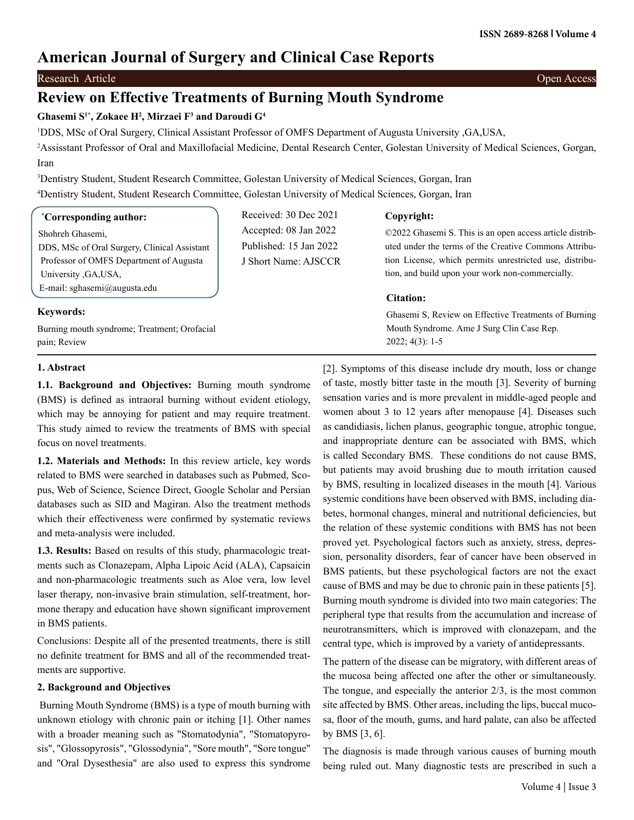# **American Journal of Surgery and Clinical Case Reports**

Research Article **Open Access** Open Access **Contract Contract Open Access** Open Access **Open Access** Open Access **Open Access** Open Access **Open Access** Open Access **Open Access** Open Access **Open Access** Open Access **Open** 

# **Review on Effective Treatments of Burning Mouth Syndrome**

# **Ghasemi S1\*, Zokaee H2 , Mirzaei F3 and Daroudi G4**

1 DDS, MSc of Oral Surgery, Clinical Assistant Professor of OMFS Department of Augusta University ,GA,USA,

2 Assisstant Professor of Oral and Maxillofacial Medicine, Dental Research Center, Golestan University of Medical Sciences, Gorgan, Iran

3 Dentistry Student, Student Research Committee, Golestan University of Medical Sciences, Gorgan, Iran 4 Dentistry Student, Student Research Committee, Golestan University of Medical Sciences, Gorgan, Iran

# **\* Corresponding author:**

Shohreh Ghasemi, DDS, MSc of Oral Surgery, Clinical Assistant Professor of OMFS Department of Augusta University ,GA,USA, E-mail: [sghasemi@augusta.edu](mailto:sghasemi@augusta.edu)

Burning mouth syndrome; Treatment; Orofacial

Received: 30 Dec 2021 Accepted: 08 Jan 2022 Published: 15 Jan 2022 J Short Name: AJSCCR

# **Copyright:**

©2022 Ghasemi S. This is an open access article distributed under the terms of the Creative Commons Attribution License, which permits unrestricted use, distribution, and build upon your work non-commercially.

# **Citation:**

Ghasemi S, Review on Effective Treatments of Burning Mouth Syndrome. Ame J Surg Clin Case Rep. 2022; 4(3): 1-5

# **1. Abstract**

pain; Review

**Keywords:**

**1.1. Background and Objectives:** Burning mouth syndrome (BMS) is defined as intraoral burning without evident etiology, which may be annoying for patient and may require treatment. This study aimed to review the treatments of BMS with special focus on novel treatments.

**1.2. Materials and Methods:** In this review article, key words related to BMS were searched in databases such as Pubmed, Scopus, Web of Science, Science Direct, Google Scholar and Persian databases such as SID and Magiran. Also the treatment methods which their effectiveness were confirmed by systematic reviews and meta-analysis were included.

**1.3. Results:** Based on results of this study, pharmacologic treatments such as Clonazepam, Alpha Lipoic Acid (ALA), Capsaicin and non-pharmacologic treatments such as Aloe vera, low level laser therapy, non-invasive brain stimulation, self-treatment, hormone therapy and education have shown significant improvement in BMS patients.

Conclusions: Despite all of the presented treatments, there is still no definite treatment for BMS and all of the recommended treatments are supportive.

# **2. Background and Objectives**

 Burning Mouth Syndrome (BMS) is a type of mouth burning with unknown etiology with chronic pain or itching [1]. Other names with a broader meaning such as "Stomatodynia", "Stomatopyrosis", "Glossopyrosis", "Glossodynia", "Sore mouth", "Sore tongue" and "Oral Dysesthesia" are also used to express this syndrome

[2]. Symptoms of this disease include dry mouth, loss or change of taste, mostly bitter taste in the mouth [3]. Severity of burning sensation varies and is more prevalent in middle-aged people and women about 3 to 12 years after menopause [4]. Diseases such as candidiasis, lichen planus, geographic tongue, atrophic tongue, and inappropriate denture can be associated with BMS, which is called Secondary BMS. These conditions do not cause BMS, but patients may avoid brushing due to mouth irritation caused by BMS, resulting in localized diseases in the mouth [4]. Various systemic conditions have been observed with BMS, including diabetes, hormonal changes, mineral and nutritional deficiencies, but the relation of these systemic conditions with BMS has not been proved yet. Psychological factors such as anxiety, stress, depression, personality disorders, fear of cancer have been observed in BMS patients, but these psychological factors are not the exact cause of BMS and may be due to chronic pain in these patients [5]. Burning mouth syndrome is divided into two main categories: The peripheral type that results from the accumulation and increase of neurotransmitters, which is improved with clonazepam, and the central type, which is improved by a variety of antidepressants.

The pattern of the disease can be migratory, with different areas of the mucosa being affected one after the other or simultaneously. The tongue, and especially the anterior 2/3, is the most common site affected by BMS. Other areas, including the lips, buccal mucosa, floor of the mouth, gums, and hard palate, can also be affected by BMS [3, 6].

The diagnosis is made through various causes of burning mouth being ruled out. Many diagnostic tests are prescribed in such a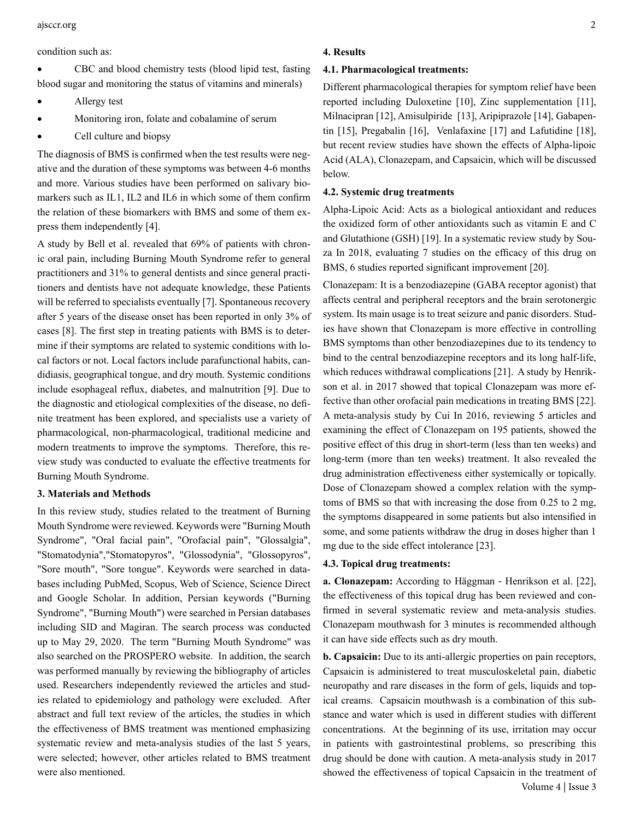#### condition such as:

CBC and blood chemistry tests (blood lipid test, fasting blood sugar and monitoring the status of vitamins and minerals)

- Allergy test
- Monitoring iron, folate and cobalamine of serum
- Cell culture and biopsy

The diagnosis of BMS is confirmed when the test results were negative and the duration of these symptoms was between 4-6 months and more. Various studies have been performed on salivary biomarkers such as IL1, IL2 and IL6 in which some of them confirm the relation of these biomarkers with BMS and some of them express them independently [4].

A study by Bell et al. revealed that 69% of patients with chronic oral pain, including Burning Mouth Syndrome refer to general practitioners and 31% to general dentists and since general practitioners and dentists have not adequate knowledge, these Patients will be referred to specialists eventually [7]. Spontaneous recovery after 5 years of the disease onset has been reported in only 3% of cases [8]. The first step in treating patients with BMS is to determine if their symptoms are related to systemic conditions with local factors or not. Local factors include parafunctional habits, candidiasis, geographical tongue, and dry mouth. Systemic conditions include esophageal reflux, diabetes, and malnutrition [9]. Due to the diagnostic and etiological complexities of the disease, no definite treatment has been explored, and specialists use a variety of pharmacological, non-pharmacological, traditional medicine and modern treatments to improve the symptoms. Therefore, this review study was conducted to evaluate the effective treatments for Burning Mouth Syndrome.

## **3. Materials and Methods**

In this review study, studies related to the treatment of Burning Mouth Syndrome were reviewed. Keywords were "Burning Mouth Syndrome", "Oral facial pain", "Orofacial pain", "Glossalgia", "Stomatodynia","Stomatopyros", "Glossodynia", "Glossopyros", "Sore mouth", "Sore tongue". Keywords were searched in databases including PubMed, Scopus, Web of Science, Science Direct and Google Scholar. In addition, Persian keywords ("Burning Syndrome", "Burning Mouth") were searched in Persian databases including SID and Magiran. The search process was conducted up to May 29, 2020. The term "Burning Mouth Syndrome" was also searched on the PROSPERO website. In addition, the search was performed manually by reviewing the bibliography of articles used. Researchers independently reviewed the articles and studies related to epidemiology and pathology were excluded. After abstract and full text review of the articles, the studies in which the effectiveness of BMS treatment was mentioned emphasizing systematic review and meta-analysis studies of the last 5 years, were selected; however, other articles related to BMS treatment were also mentioned.

### **4. Results**

#### **4.1. Pharmacological treatments:**

Different pharmacological therapies for symptom relief have been reported including Duloxetine [10], Zinc supplementation [11], Milnacipran [12], Amisulpiride [13], Aripiprazole [14], Gabapentin [15], Pregabalin [16], Venlafaxine [17] and Lafutidine [18], but recent review studies have shown the effects of Alpha-lipoic Acid (ALA), Clonazepam, and Capsaicin, which will be discussed below.

#### **4.2. Systemic drug treatments**

Alpha-Lipoic Acid: Acts as a biological antioxidant and reduces the oxidized form of other antioxidants such as vitamin E and C and Glutathione (GSH) [19]. In a systematic review study by Souza In 2018, evaluating 7 studies on the efficacy of this drug on BMS, 6 studies reported significant improvement [20].

Clonazepam: It is a benzodiazepine (GABA receptor agonist) that affects central and peripheral receptors and the brain serotonergic system. Its main usage is to treat seizure and panic disorders. Studies have shown that Clonazepam is more effective in controlling BMS symptoms than other benzodiazepines due to its tendency to bind to the central benzodiazepine receptors and its long half-life, which reduces withdrawal complications [21]. A study by Henrikson et al. in 2017 showed that topical Clonazepam was more effective than other orofacial pain medications in treating BMS [22]. A meta-analysis study by Cui In 2016, reviewing 5 articles and examining the effect of Clonazepam on 195 patients, showed the positive effect of this drug in short-term (less than ten weeks) and long-term (more than ten weeks) treatment. It also revealed the drug administration effectiveness either systemically or topically. Dose of Clonazepam showed a complex relation with the symptoms of BMS so that with increasing the dose from 0.25 to 2 mg, the symptoms disappeared in some patients but also intensified in some, and some patients withdraw the drug in doses higher than 1 mg due to the side effect intolerance [23].

# **4.3. Topical drug treatments:**

**a. Clonazepam:** According to Häggman‐Henrikson et al. [22], the effectiveness of this topical drug has been reviewed and confirmed in several systematic review and meta-analysis studies. Clonazepam mouthwash for 3 minutes is recommended although it can have side effects such as dry mouth.

 Volume 4 | Issue 3 **b. Capsaicin:** Due to its anti-allergic properties on pain receptors, Capsaicin is administered to treat musculoskeletal pain, diabetic neuropathy and rare diseases in the form of gels, liquids and topical creams. Capsaicin mouthwash is a combination of this substance and water which is used in different studies with different concentrations. At the beginning of its use, irritation may occur in patients with gastrointestinal problems, so prescribing this drug should be done with caution. A meta-analysis study in 2017 showed the effectiveness of topical Capsaicin in the treatment of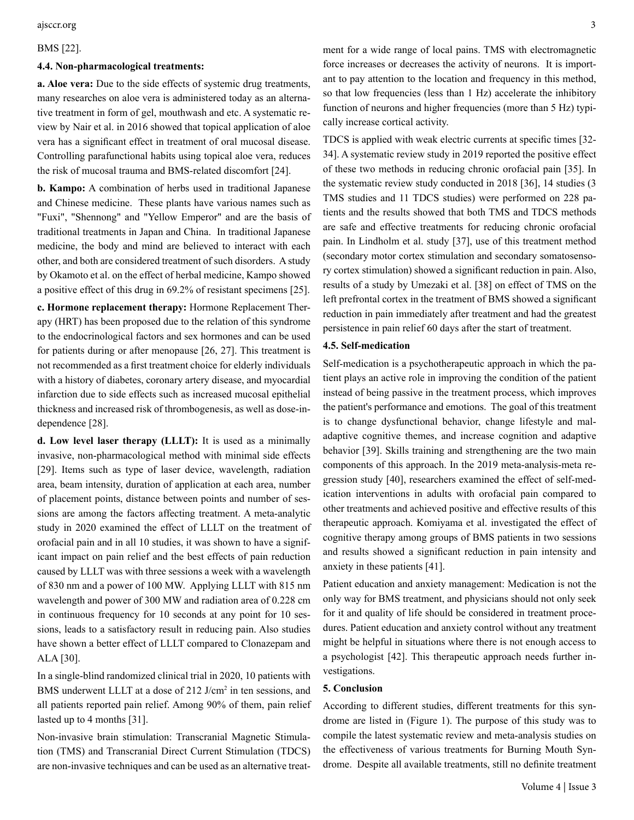#### BMS [22].

#### **4.4. Non-pharmacological treatments:**

**a. Aloe vera:** Due to the side effects of systemic drug treatments, many researches on aloe vera is administered today as an alternative treatment in form of gel, mouthwash and etc. A systematic review by Nair et al. in 2016 showed that topical application of aloe vera has a significant effect in treatment of oral mucosal disease. Controlling parafunctional habits using topical aloe vera, reduces the risk of mucosal trauma and BMS-related discomfort [24].

**b. Kampo:** A combination of herbs used in traditional Japanese and Chinese medicine. These plants have various names such as "Fuxi", "Shennong" and "Yellow Emperor" and are the basis of traditional treatments in Japan and China. In traditional Japanese medicine, the body and mind are believed to interact with each other, and both are considered treatment of such disorders. A study by Okamoto et al. on the effect of herbal medicine, Kampo showed a positive effect of this drug in 69.2% of resistant specimens [25].

**c. Hormone replacement therapy:** Hormone Replacement Therapy (HRT) has been proposed due to the relation of this syndrome to the endocrinological factors and sex hormones and can be used for patients during or after menopause [26, 27]. This treatment is not recommended as a first treatment choice for elderly individuals with a history of diabetes, coronary artery disease, and myocardial infarction due to side effects such as increased mucosal epithelial thickness and increased risk of thrombogenesis, as well as dose-independence [28].

**d. Low level laser therapy (LLLT):** It is used as a minimally invasive, non-pharmacological method with minimal side effects [29]. Items such as type of laser device, wavelength, radiation area, beam intensity, duration of application at each area, number of placement points, distance between points and number of sessions are among the factors affecting treatment. A meta-analytic study in 2020 examined the effect of LLLT on the treatment of orofacial pain and in all 10 studies, it was shown to have a significant impact on pain relief and the best effects of pain reduction caused by LLLT was with three sessions a week with a wavelength of 830 nm and a power of 100 MW. Applying LLLT with 815 nm wavelength and power of 300 MW and radiation area of 0.228 cm in continuous frequency for 10 seconds at any point for 10 sessions, leads to a satisfactory result in reducing pain. Also studies have shown a better effect of LLLT compared to Clonazepam and ALA [30].

In a single-blind randomized clinical trial in 2020, 10 patients with BMS underwent LLLT at a dose of 212 J/cm<sup>2</sup> in ten sessions, and all patients reported pain relief. Among 90% of them, pain relief lasted up to 4 months [31].

Non-invasive brain stimulation: Transcranial Magnetic Stimulation (TMS) and Transcranial Direct Current Stimulation (TDCS) are non-invasive techniques and can be used as an alternative treatment for a wide range of local pains. TMS with electromagnetic force increases or decreases the activity of neurons. It is important to pay attention to the location and frequency in this method, so that low frequencies (less than 1 Hz) accelerate the inhibitory function of neurons and higher frequencies (more than 5 Hz) typically increase cortical activity.

TDCS is applied with weak electric currents at specific times [32- 34]. A systematic review study in 2019 reported the positive effect of these two methods in reducing chronic orofacial pain [35]. In the systematic review study conducted in 2018 [36], 14 studies (3 TMS studies and 11 TDCS studies) were performed on 228 patients and the results showed that both TMS and TDCS methods are safe and effective treatments for reducing chronic orofacial pain. In Lindholm et al. study [37], use of this treatment method (secondary motor cortex stimulation and secondary somatosensory cortex stimulation) showed a significant reduction in pain. Also, results of a study by Umezaki et al. [38] on effect of TMS on the left prefrontal cortex in the treatment of BMS showed a significant reduction in pain immediately after treatment and had the greatest persistence in pain relief 60 days after the start of treatment.

#### **4.5. Self-medication**

Self-medication is a psychotherapeutic approach in which the patient plays an active role in improving the condition of the patient instead of being passive in the treatment process, which improves the patient's performance and emotions. The goal of this treatment is to change dysfunctional behavior, change lifestyle and maladaptive cognitive themes, and increase cognition and adaptive behavior [39]. Skills training and strengthening are the two main components of this approach. In the 2019 meta-analysis-meta regression study [40], researchers examined the effect of self-medication interventions in adults with orofacial pain compared to other treatments and achieved positive and effective results of this therapeutic approach. Komiyama et al. investigated the effect of cognitive therapy among groups of BMS patients in two sessions and results showed a significant reduction in pain intensity and anxiety in these patients [41].

Patient education and anxiety management: Medication is not the only way for BMS treatment, and physicians should not only seek for it and quality of life should be considered in treatment procedures. Patient education and anxiety control without any treatment might be helpful in situations where there is not enough access to a psychologist [42]. This therapeutic approach needs further investigations.

#### **5. Conclusion**

According to different studies, different treatments for this syndrome are listed in (Figure 1). The purpose of this study was to compile the latest systematic review and meta-analysis studies on the effectiveness of various treatments for Burning Mouth Syndrome. Despite all available treatments, still no definite treatment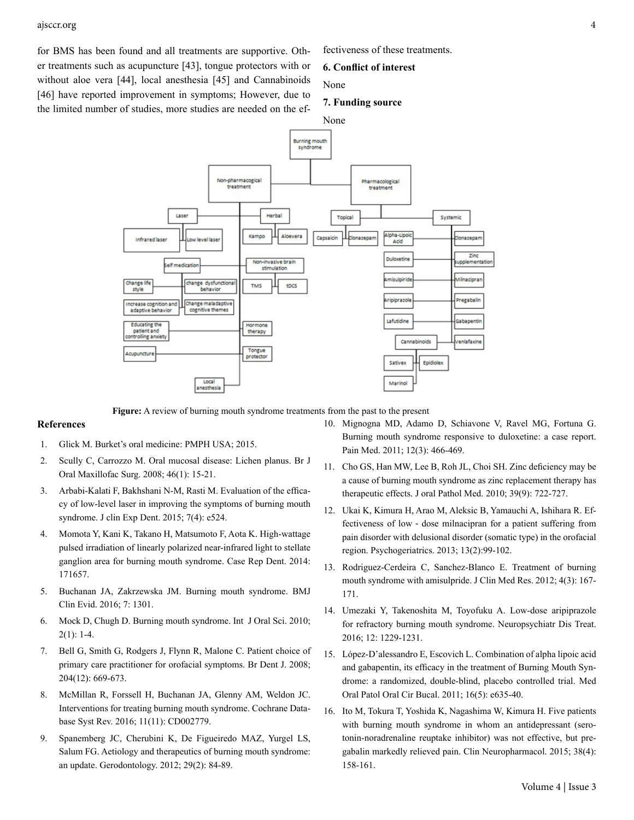for BMS has been found and all treatments are supportive. Other treatments such as acupuncture [43], tongue protectors with or without aloe vera [44], local anesthesia [45] and Cannabinoids [46] have reported improvement in symptoms; However, due to the limited number of studies, more studies are needed on the effectiveness of these treatments.

#### **6. Conflict of interest**

None

#### **7. Funding source**



**Figure:** A review of burning mouth syndrome treatments from the past to the present

### **References**

- 1. Glick M. Burket's oral medicine: PMPH USA; 2015.
- 2. [Scully C, Carrozzo M. Oral mucosal disease: Lichen planus. Br J](https://pubmed.ncbi.nlm.nih.gov/17822813/) [Oral Maxillofac Surg. 2008; 46\(1\): 15-21.](https://pubmed.ncbi.nlm.nih.gov/17822813/)
- 3. [Arbabi-Kalati F, Bakhshani N-M, Rasti M. Evaluation of the effica](https://pubmed.ncbi.nlm.nih.gov/26535101/)[cy of low-level laser in improving the symptoms of burning mouth](https://pubmed.ncbi.nlm.nih.gov/26535101/) [syndrome. J clin Exp Dent. 2015; 7\(4\): e524.](https://pubmed.ncbi.nlm.nih.gov/26535101/)
- 4. [Momota Y, Kani K, Takano H, Matsumoto F, Aota K. High-wattage](https://pubmed.ncbi.nlm.nih.gov/25386367/) [pulsed irradiation of linearly polarized near-infrared light to stellate](https://pubmed.ncbi.nlm.nih.gov/25386367/) [ganglion area for burning mouth syndrome. Case Rep Dent. 2014:](https://pubmed.ncbi.nlm.nih.gov/25386367/) [171657.](https://pubmed.ncbi.nlm.nih.gov/25386367/)
- 5. [Buchanan JA, Zakrzewska JM. Burning mouth syndrome. BMJ](https://pubmed.ncbi.nlm.nih.gov/26745781/)  [Clin Evid. 2016; 7: 1301.](https://pubmed.ncbi.nlm.nih.gov/26745781/)
- 6. [Mock D, Chugh D. Burning mouth syndrome. Int J Oral Sci. 2010;](https://pubmed.ncbi.nlm.nih.gov/20690412/)  $2(1): 1-4.$
- 7. [Bell G, Smith G, Rodgers J, Flynn R, Malone C. Patient choice of](https://pubmed.ncbi.nlm.nih.gov/18587362/) [primary care practitioner for orofacial symptoms. Br Dent J. 2008;](https://pubmed.ncbi.nlm.nih.gov/18587362/) [204\(12\): 669-673.](https://pubmed.ncbi.nlm.nih.gov/18587362/)
- 8. [McMillan R, Forssell H, Buchanan JA, Glenny AM, Weldon JC.](https://pubmed.ncbi.nlm.nih.gov/27855478/) [Interventions for treating burning mouth syndrome. Cochrane Data](https://pubmed.ncbi.nlm.nih.gov/27855478/)[base Syst Rev. 2016; 11\(11\): CD002779.](https://pubmed.ncbi.nlm.nih.gov/27855478/)
- 9. [Spanemberg JC, Cherubini K, De Figueiredo MAZ, Yurgel LS,](https://pubmed.ncbi.nlm.nih.gov/22612823/) [Salum FG. Aetiology and therapeutics of burning mouth syndrome:](https://pubmed.ncbi.nlm.nih.gov/22612823/) [an update. Gerodontology. 2012; 29\(2\): 84-89.](https://pubmed.ncbi.nlm.nih.gov/22612823/)
- 10. [Mignogna MD, Adamo D, Schiavone V, Ravel MG, Fortuna G.](https://pubmed.ncbi.nlm.nih.gov/21223496/) [Burning mouth syndrome responsive to duloxetine: a case report.](https://pubmed.ncbi.nlm.nih.gov/21223496/) [Pain Med. 2011; 12\(3\): 466-469.](https://pubmed.ncbi.nlm.nih.gov/21223496/)
- 11. [Cho GS, Han MW, Lee B, Roh JL, Choi SH. Zinc deficiency may be](https://pubmed.ncbi.nlm.nih.gov/20618611/#:~:text=Conclusions%3A Zinc deficiency might play,is effective in relieving symptoms.) [a cause of burning mouth syndrome as zinc replacement therapy has](https://pubmed.ncbi.nlm.nih.gov/20618611/#:~:text=Conclusions%3A Zinc deficiency might play,is effective in relieving symptoms.)  [therapeutic effects. J oral Pathol Med. 2010; 39\(9\): 722-727.](https://pubmed.ncbi.nlm.nih.gov/20618611/#:~:text=Conclusions%3A Zinc deficiency might play,is effective in relieving symptoms.)
- 12. [Ukai K, Kimura H, Arao M, Aleksic B, Yamauchi A, Ishihara R. Ef](https://pubmed.ncbi.nlm.nih.gov/23909967/)fectiveness of low‐[dose milnacipran for a patient suffering from](https://pubmed.ncbi.nlm.nih.gov/23909967/) [pain disorder with delusional disorder \(somatic type\) in the orofacial](https://pubmed.ncbi.nlm.nih.gov/23909967/) [region. Psychogeriatrics. 2013; 13\(2\):99-102.](https://pubmed.ncbi.nlm.nih.gov/23909967/)
- 13. [Rodriguez-Cerdeira C, Sanchez-Blanco E. Treatment of burning](https://www.ncbi.nlm.nih.gov/pmc/articles/PMC3376874/) [mouth syndrome with amisulpride. J Clin Med Res. 2012; 4\(3\): 167-](https://www.ncbi.nlm.nih.gov/pmc/articles/PMC3376874/) [171.](https://www.ncbi.nlm.nih.gov/pmc/articles/PMC3376874/)
- 14. [Umezaki Y, Takenoshita M, Toyofuku A. Low-dose aripiprazole](https://pubmed.ncbi.nlm.nih.gov/27279742/) [for refractory burning mouth syndrome. Neuropsychiatr Dis Treat.](https://pubmed.ncbi.nlm.nih.gov/27279742/)  [2016; 12: 1229-1231.](https://pubmed.ncbi.nlm.nih.gov/27279742/)
- 15. [López-D'alessandro E, Escovich L. Combination of alpha lipoic acid](https://pubmed.ncbi.nlm.nih.gov/20711135/) [and gabapentin, its efficacy in the treatment of Burning Mouth Syn](https://pubmed.ncbi.nlm.nih.gov/20711135/)[drome: a randomized, double-blind, placebo controlled trial. Med](https://pubmed.ncbi.nlm.nih.gov/20711135/) [Oral Patol Oral Cir Bucal. 2011; 16\(5\): e635-40.](https://pubmed.ncbi.nlm.nih.gov/20711135/)
- 16. [Ito M, Tokura T, Yoshida K, Nagashima W, Kimura H. Five patients](https://pubmed.ncbi.nlm.nih.gov/26166242/) [with burning mouth syndrome in whom an antidepressant \(sero](https://pubmed.ncbi.nlm.nih.gov/26166242/)[tonin-noradrenaline reuptake inhibitor\) was not effective, but pre](https://pubmed.ncbi.nlm.nih.gov/26166242/)[gabalin markedly relieved pain. Clin Neuropharmacol. 2015; 38\(4\):](https://pubmed.ncbi.nlm.nih.gov/26166242/) [158-161.](https://pubmed.ncbi.nlm.nih.gov/26166242/)